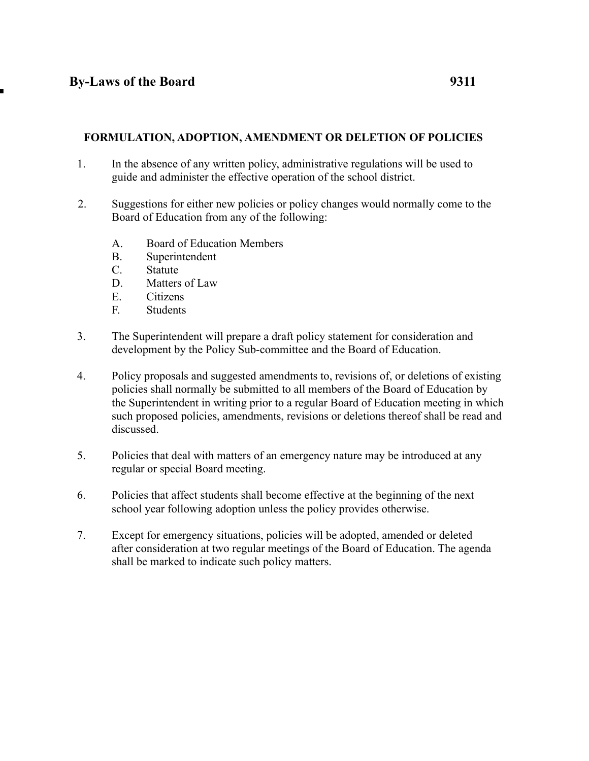## **FORMULATION, ADOPTION, AMENDMENT OR DELETION OF POLICIES**

- 1. In the absence of any written policy, administrative regulations will be used to guide and administer the effective operation of the school district.
- 2. Suggestions for either new policies or policy changes would normally come to the Board of Education from any of the following:
	- A. Board of Education Members
	- B. Superintendent
	- C. Statute
	- D. Matters of Law
	- E. Citizens
	- F. Students
- 3. The Superintendent will prepare a draft policy statement for consideration and development by the Policy Sub-committee and the Board of Education.
- 4. Policy proposals and suggested amendments to, revisions of, or deletions of existing policies shall normally be submitted to all members of the Board of Education by the Superintendent in writing prior to a regular Board of Education meeting in which such proposed policies, amendments, revisions or deletions thereof shall be read and discussed.
- 5. Policies that deal with matters of an emergency nature may be introduced at any regular or special Board meeting.
- 6. Policies that affect students shall become effective at the beginning of the next school year following adoption unless the policy provides otherwise.
- 7. Except for emergency situations, policies will be adopted, amended or deleted after consideration at two regular meetings of the Board of Education. The agenda shall be marked to indicate such policy matters.